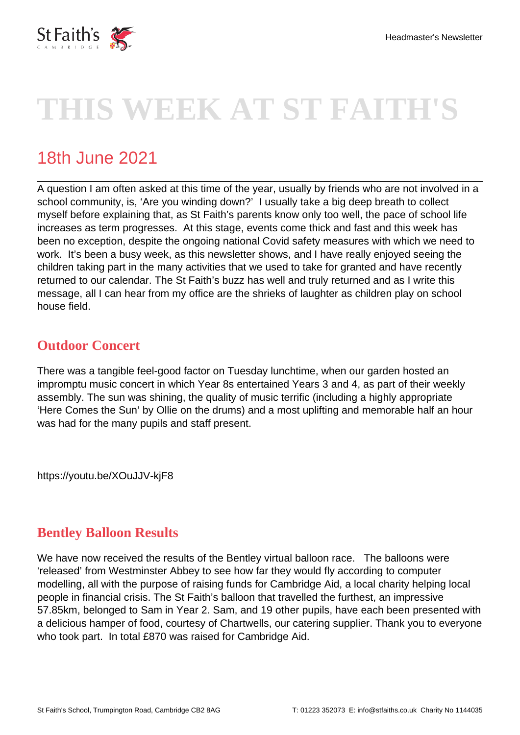

# **THIS WEEK AT ST FAITH'S**

# 18th June 2021

A question I am often asked at this time of the year, usually by friends who are not involved in a school community, is, 'Are you winding down?' I usually take a big deep breath to collect myself before explaining that, as St Faith's parents know only too well, the pace of school life increases as term progresses. At this stage, events come thick and fast and this week has been no exception, despite the ongoing national Covid safety measures with which we need to work. It's been a busy week, as this newsletter shows, and I have really enjoyed seeing the children taking part in the many activities that we used to take for granted and have recently returned to our calendar. The St Faith's buzz has well and truly returned and as I write this message, all I can hear from my office are the shrieks of laughter as children play on school house field.

## **Outdoor Concert**

There was a tangible feel-good factor on Tuesday lunchtime, when our garden hosted an impromptu music concert in which Year 8s entertained Years 3 and 4, as part of their weekly assembly. The sun was shining, the quality of music terrific (including a highly appropriate 'Here Comes the Sun' by Ollie on the drums) and a most uplifting and memorable half an hour was had for the many pupils and staff present.

https://youtu.be/XOuJJV-kjF8

#### **Bentley Balloon Results**

We have now received the results of the Bentley virtual balloon race. The balloons were 'released' from Westminster Abbey to see how far they would fly according to computer modelling, all with the purpose of raising funds for Cambridge Aid, a local charity helping local people in financial crisis. The St Faith's balloon that travelled the furthest, an impressive 57.85km, belonged to Sam in Year 2. Sam, and 19 other pupils, have each been presented with a delicious hamper of food, courtesy of Chartwells, our catering supplier. Thank you to everyone who took part. In total £870 was raised for Cambridge Aid.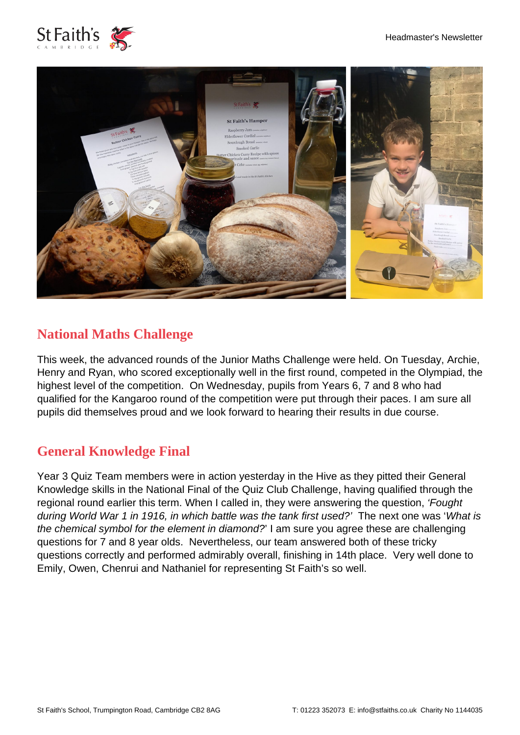



## **National Maths Challenge**

This week, the advanced rounds of the Junior Maths Challenge were held. On Tuesday, Archie, Henry and Ryan, who scored exceptionally well in the first round, competed in the Olympiad, the highest level of the competition. On Wednesday, pupils from Years 6, 7 and 8 who had qualified for the Kangaroo round of the competition were put through their paces. I am sure all pupils did themselves proud and we look forward to hearing their results in due course.

#### **General Knowledge Final**

Year 3 Quiz Team members were in action yesterday in the Hive as they pitted their General Knowledge skills in the National Final of the Quiz Club Challenge, having qualified through the regional round earlier this term. When I called in, they were answering the question, 'Fought during World War 1 in 1916, in which battle was the tank first used?' The next one was 'What is the chemical symbol for the element in diamond?' I am sure you agree these are challenging questions for 7 and 8 year olds. Nevertheless, our team answered both of these tricky questions correctly and performed admirably overall, finishing in 14th place. Very well done to Emily, Owen, Chenrui and Nathaniel for representing St Faith's so well.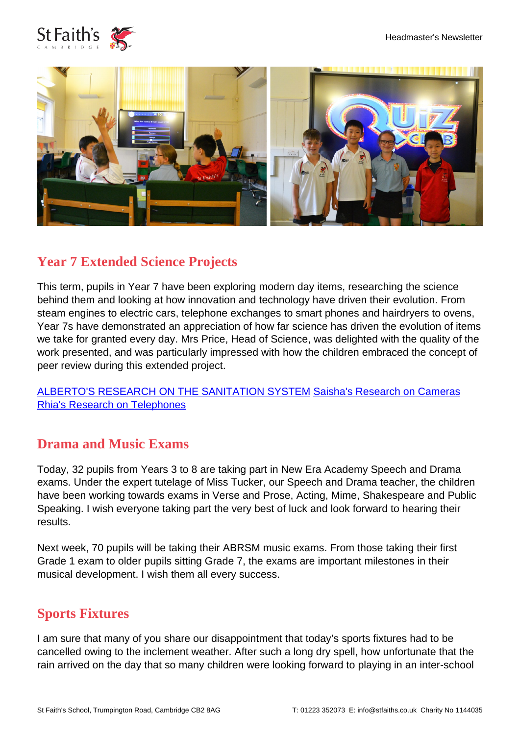



#### **Year 7 Extended Science Projects**

This term, pupils in Year 7 have been exploring modern day items, researching the science behind them and looking at how innovation and technology have driven their evolution. From steam engines to electric cars, telephone exchanges to smart phones and hairdryers to ovens, Year 7s have demonstrated an appreciation of how far science has driven the evolution of items we take for granted every day. Mrs Price, Head of Science, was delighted with the quality of the work presented, and was particularly impressed with how the children embraced the concept of peer review during this extended project.

[ALBERTO'S RESEARCH ON THE SANITATION SYSTEM](https://youtu.be/3lnBx6yBumE) [Saisha's Research on Cameras](https://youtu.be/peHKgM7W54o) [Rhia's Research on Telephones](https://youtu.be/P0T9QWK2K_A)

#### **Drama and Music Exams**

Today, 32 pupils from Years 3 to 8 are taking part in New Era Academy Speech and Drama exams. Under the expert tutelage of Miss Tucker, our Speech and Drama teacher, the children have been working towards exams in Verse and Prose, Acting, Mime, Shakespeare and Public Speaking. I wish everyone taking part the very best of luck and look forward to hearing their results.

Next week, 70 pupils will be taking their ABRSM music exams. From those taking their first Grade 1 exam to older pupils sitting Grade 7, the exams are important milestones in their musical development. I wish them all every success.

#### **Sports Fixtures**

I am sure that many of you share our disappointment that today's sports fixtures had to be cancelled owing to the inclement weather. After such a long dry spell, how unfortunate that the rain arrived on the day that so many children were looking forward to playing in an inter-school